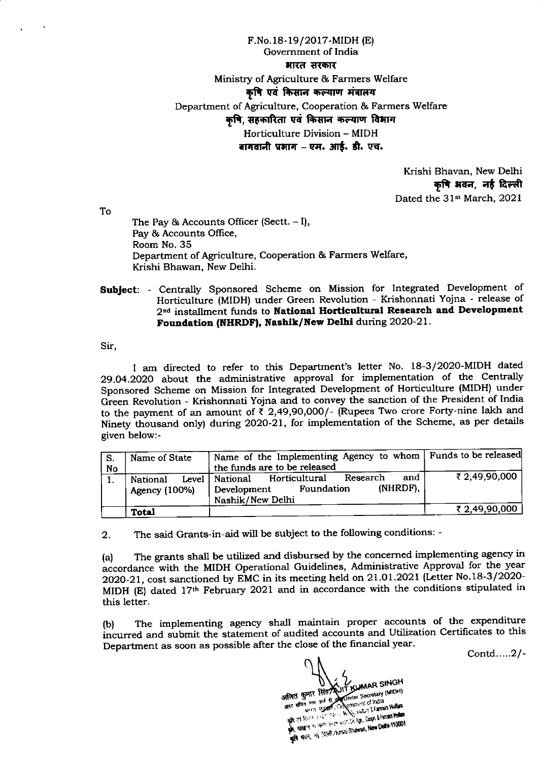F.No.18-19/2017-MIDH (E) Government of India भारत सरकार Ministry of Agriculture & Farmers Welfare कषि एवं किसान कल्याण मंत्रालय Department of Agriculture, Cooperation & Farmers Welfare कृषि, सहकारिता एवं किसान कल्याण विभाग Horticulture Division - MIDH बागवानी प्रभाग – एम. आर्ड. डी. एच.

> Krishi Bhavan, New Delhi कृषि भवन, नई दिल्ली Dated the 31st March, 2021

To

The Pay & Accounts Officer (Sectt.  $-I$ ), Pay & Accounts Office, Room No. 35 Department of Agriculture, Cooperation & Farmers Welfare, Krishi Bhawan, New Delhi.

Subject: - Centrally Sponsored Scheme on Mission for Integrated Development of Horticulture (MIDH) under Green Revolution - Krishonnati Yojna - release of 2<sup>nd</sup> installment funds to National Horticultural Research and Development Foundation (NHRDF), Nashik/New Delhi during 2020-21.

Sir.

I am directed to refer to this Department's letter No. 18-3/2020-MIDH dated 29.04.2020 about the administrative approval for implementation of the Centrally Sponsored Scheme on Mission for Integrated Development of Horticulture (MIDH) under Green Revolution - Krishonnati Yojna and to convey the sanction of the President of India to the payment of an amount of ₹ 2,49,90,000/- (Rupees Two crore Forty-nine lakh and Ninety thousand only) during 2020-21, for implementation of the Scheme, as per details given below:-

| Name of State     | Name of the Implementing Agency to whom   Funds to be released |               |
|-------------------|----------------------------------------------------------------|---------------|
|                   | the funds are to be released                                   |               |
| Level<br>National | and<br>Research<br>Horticultural<br>National                   | ₹ 2,49,90,000 |
|                   | (NHRDF).<br><b>Foundation</b><br>Development                   |               |
|                   | Nashik/New Delhi                                               |               |
|                   |                                                                | ₹ 2,49,90,000 |
|                   | Agency (100%)<br><b>Total</b>                                  |               |

The said Grants-in-aid will be subject to the following conditions: - $2.$ 

The grants shall be utilized and disbursed by the concerned implementing agency in  $(a)$ accordance with the MIDH Operational Guidelines, Administrative Approval for the year 2020-21, cost sanctioned by EMC in its meeting held on 21.01.2021 (Letter No.18-3/2020-MIDH (E) dated 17th February 2021 and in accordance with the conditions stipulated in this letter.

The implementing agency shall maintain proper accounts of the expenditure  $(b)$ incurred and submit the statement of audited accounts and Utilization Certificates to this Department as soon as possible after the close of the financial year.

Contd.....2/-

अजित कुमार सिंह AJIT KUMAR SINGH wire my Government of India The research of the state of the state of the state of the state of the state of the state of the state of the state **FA.** HERETIE IN HERE SHOW WAY AND LOOK STATION WORKS -<br>कृषि भवन, नई दिल्ली/ hushi Bhawan, New Delhi-110001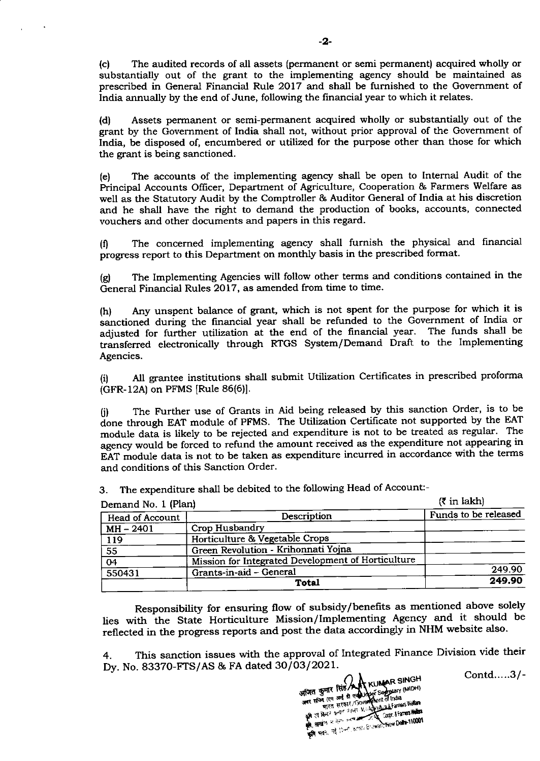(c) The audited records of all assets (permanent or semi permanent) acquired wholly or substantially out of the grant to the implementing agency should be maintained as prescribed in General Financial Rule 2Ol7 and shall be furnished to the Government of India annually by the end of June, following the financial year to which it relates.

(d) Assets permanent or semi-permanent acquired wholly or substantially out of the grant by the Government of lndia shall not, without prior approval of the Government of India, be disposed of, encumbered or utilized for the purpose other than those for which the grant is being sanctioned.

(e) The accounts of the implementing agency shall be open to Internal Audit of the Principal Accounts Officer, Department of Agriculture, Cooperation & Farmers Welfare as well as the Statutory Audit by the Comptroller & Auditor General of India at his discretion and he shall have the right to demand the production of books, accounts, connected vouchers and other documents and papers in this regard.

(0 The concerned implementing agency shall furnish the physical and frnancial progress report to this Department on monthly basis in the prescribed format.

(g) The Implementing Agencies will follow other terms and conditions contained in the General Financial Rules 2017, as amended from time to time.

(h) Any unspent balance of grant, which is not spent for the purpose for which it is sanctioned during the financial year shall be refunded to the Government of India or adjusted for further utilization at the end of the financial year. The funds shall be transferred electronically through RTGS System/Demand Draft to the Implementing Agencies.

(i) AII grantee institutions shall submit Utilization Certificates in prescribed proforma (GFR-12A) on PFMS [Rule 86(6)].

(i) The Further use of Grants in Aid being released by this sanction order, is to be done through EAT module of PFMS. The Utilization Certificate not supported by the EAT module data is likely to be rejected and expenditure is not to be treated as regular. The agency would be forced to refund the amount received as the expenditure not appearing in EAT module data is not to be taken as expenditure incurred in accordance with the terms and conditions of this Sanction Order.

| Demand No. 1 (Plan) |                                                    | $(5 \text{ in } \text{lakh})$ |
|---------------------|----------------------------------------------------|-------------------------------|
| Head of Account     | Description                                        | Funds to be released          |
| MH - 2401           | Crop Husbandry                                     |                               |
| 119                 | Horticulture & Vegetable Crops                     |                               |
| $\overline{55}$     | Green Revolution - Krihonnati Yojna                |                               |
| $\overline{04}$     | Mission for Integrated Development of Horticulture |                               |
| 550431              | Grants-in-aid - General                            | 249.90                        |
|                     | <b>Total</b>                                       | 249.90                        |

3. The expenditure shall be debited to the following Head of Account:-

Responsibility for ensuring flow of subsidy/benefits as mentioned above solely lies with the State Horticulture Mission/Implementing Agency and it should be reflected in the progress reports and post the data accordingly in NHM website also.

4. This sanction issues with the approval of Integrated Finance Division vide their Dy. No. 83370-FTS/AS & FA dated 30/03/2021.

SINGH SINGH mover 3 cell and 8 cellumper 3 Ericita<br>जबर सचिव (एम आई डी एक्श्रामणिका of India<br>अवास कारण अल्पा अल्पेश के मेरे जिसका Wedan an II Bull? trans Hellen **BY A REGIST OF THE REGISTER OF THE DELTA TODOS** Har, its Most Kosta Brawsh New Delto 110001 r<br>an

Contd.....3/-